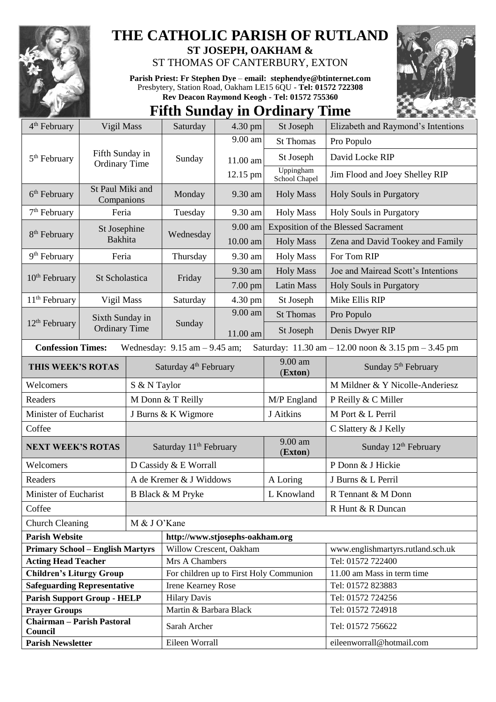

## **THE CATHOLIC PARISH OF RUTLAND**

**ST JOSEPH, OAKHAM &**  ST THOMAS OF CANTERBURY, EXTON

**Parish Priest: Fr Stephen Dye** – **[email: stephendye@btinternet.com](mailto:email:%20%20stephendye@btinternet.com)** Presbytery, Station Road, Oakham LE15 6QU - **Tel: 01572 722308 Rev Deacon Raymond Keogh - Tel: 01572 755360**

## **Fifth Sunday in Ordinary Time**